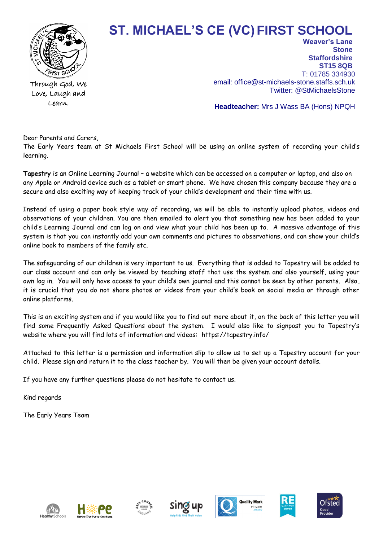

**ST. MICHAEL'S CE (VC)FIRST SCHOOL** 

Through God, We Love, Laugh and Learn.

**Stone Staffordshire ST15 8QB** T: 01785 334930 email: office@st-michaels-stone.staffs.sch.uk Twitter: @StMichaelsStone

**Weaver's Lane** 

**Headteacher:** Mrs J Wass BA (Hons) NPQH

Dear Parents and Carers,

The Early Years team at St Michaels First School will be using an online system of recording your child's learning.

**Tapestry** is an Online Learning Journal – a website which can be accessed on a computer or laptop, and also on any Apple or Android device such as a tablet or smart phone. We have chosen this company because they are a secure and also exciting way of keeping track of your child's development and their time with us.

Instead of using a paper book style way of recording, we will be able to instantly upload photos, videos and observations of your children. You are then emailed to alert you that something new has been added to your child's Learning Journal and can log on and view what your child has been up to. A massive advantage of this system is that you can instantly add your own comments and pictures to observations, and can show your child's online book to members of the family etc.

The safeguarding of our children is very important to us. Everything that is added to Tapestry will be added to our class account and can only be viewed by teaching staff that use the system and also yourself, using your own log in. You will only have access to your child's own journal and this cannot be seen by other parents. Also, it is crucial that you do not share photos or videos from your child's book on social media or through other online platforms.

This is an exciting system and if you would like you to find out more about it, on the back of this letter you will find some Frequently Asked Questions about the system. I would also like to signpost you to Tapestry's website where you will find lots of information and videos: https://tapestry.info/

Attached to this letter is a permission and information slip to allow us to set up a Tapestry account for your child. Please sign and return it to the class teacher by. You will then be given your account details.

If you have any further questions please do not hesitate to contact us.

Kind regards

The Early Years Team











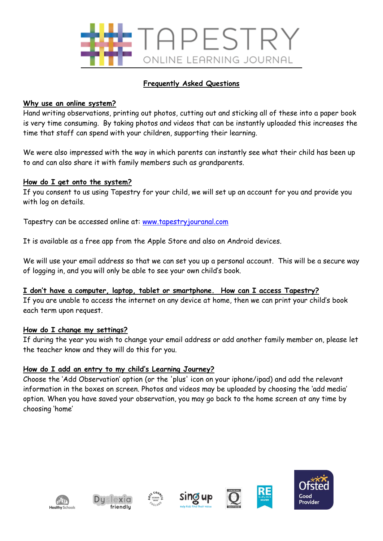

# **Frequently Asked Questions**

## **Why use an online system?**

Hand writing observations, printing out photos, cutting out and sticking all of these into a paper book is very time consuming. By taking photos and videos that can be instantly uploaded this increases the time that staff can spend with your children, supporting their learning.

We were also impressed with the way in which parents can instantly see what their child has been up to and can also share it with family members such as grandparents.

## **How do I get onto the system?**

If you consent to us using Tapestry for your child, we will set up an account for you and provide you with log on details.

Tapestry can be accessed online at: [www.tapestryjouranal.com](http://www.tapestryjouranal.com/)

It is available as a free app from the Apple Store and also on Android devices.

We will use your email address so that we can set you up a personal account. This will be a secure way of logging in, and you will only be able to see your own child's book.

#### **I don't have a computer, laptop, tablet or smartphone. How can I access Tapestry?**

If you are unable to access the internet on any device at home, then we can print your child's book each term upon request.

#### **How do I change my settings?**

If during the year you wish to change your email address or add another family member on, please let the teacher know and they will do this for you.

# **How do I add an entry to my child's Learning Journey?**

Choose the 'Add Observation' option (or the 'plus' icon on your iphone/ipad) and add the relevant information in the boxes on screen. Photos and videos may be uploaded by choosing the 'add media' option. When you have saved your observation, you may go back to the home screen at any time by choosing 'home'